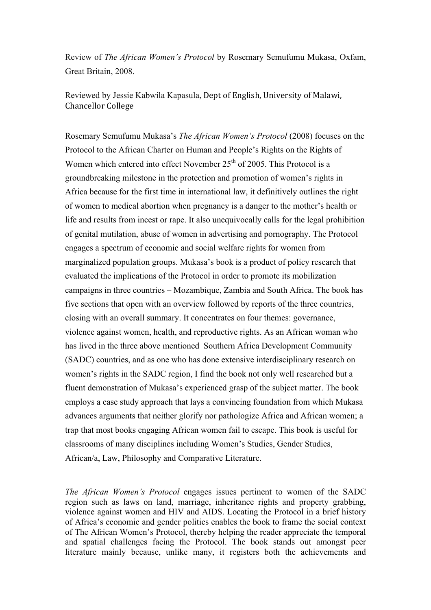Review of *The African Women's Protocol* by Rosemary Semufumu Mukasa, Oxfam, Great Britain, 2008.

Reviewed by Jessie Kabwila Kapasula, Dept of English, University of Malawi, Chancellor College

Rosemary Semufumu Mukasa's *The African Women's Protocol* (2008) focuses on the Protocol to the African Charter on Human and People's Rights on the Rights of Women which entered into effect November  $25<sup>th</sup>$  of 2005. This Protocol is a groundbreaking milestone in the protection and promotion of women's rights in Africa because for the first time in international law, it definitively outlines the right of women to medical abortion when pregnancy is a danger to the mother's health or life and results from incest or rape. It also unequivocally calls for the legal prohibition of genital mutilation, abuse of women in advertising and pornography. The Protocol engages a spectrum of economic and social welfare rights for women from marginalized population groups. Mukasa's book is a product of policy research that evaluated the implications of the Protocol in order to promote its mobilization campaigns in three countries – Mozambique, Zambia and South Africa. The book has five sections that open with an overview followed by reports of the three countries, closing with an overall summary. It concentrates on four themes: governance, violence against women, health, and reproductive rights. As an African woman who has lived in the three above mentioned Southern Africa Development Community (SADC) countries, and as one who has done extensive interdisciplinary research on women's rights in the SADC region, I find the book not only well researched but a fluent demonstration of Mukasa's experienced grasp of the subject matter. The book employs a case study approach that lays a convincing foundation from which Mukasa advances arguments that neither glorify nor pathologize Africa and African women; a trap that most books engaging African women fail to escape. This book is useful for classrooms of many disciplines including Women's Studies, Gender Studies, African/a, Law, Philosophy and Comparative Literature.

*The African Women's Protocol* engages issues pertinent to women of the SADC region such as laws on land, marriage, inheritance rights and property grabbing, violence against women and HIV and AIDS. Locating the Protocol in a brief history of Africa's economic and gender politics enables the book to frame the social context of The African Women's Protocol, thereby helping the reader appreciate the temporal and spatial challenges facing the Protocol. The book stands out amongst peer literature mainly because, unlike many, it registers both the achievements and